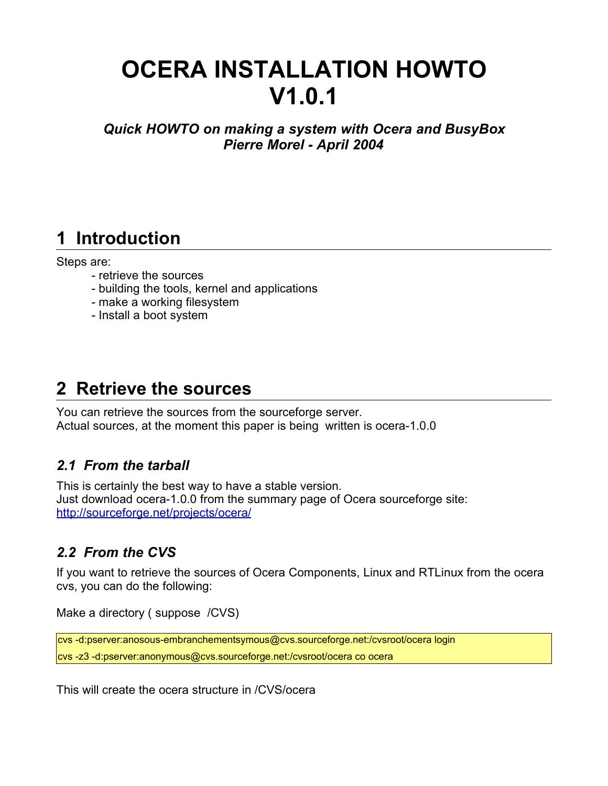# **OCERA INSTALLATION HOWTO V1.0.1**

*Quick HOWTO on making a system with Ocera and BusyBox Pierre Morel - April 2004*

## **1 Introduction**

#### Steps are:

- retrieve the sources
- building the tools, kernel and applications
- make a working filesystem
- Install a boot system

## **2 Retrieve the sources**

You can retrieve the sources from the sourceforge server. Actual sources, at the moment this paper is being written is ocera-1.0.0

#### *2.1 From the tarball*

This is certainly the best way to have a stable version. Just download ocera-1.0.0 from the summary page of Ocera sourceforge site: http://sourceforge.net/projects/ocera/

### *2.2 From the CVS*

If you want to retrieve the sources of Ocera Components, Linux and RTLinux from the ocera cvs, you can do the following:

Make a directory ( suppose /CVS)

```
cvs -d:pserver:anosous-embranchementsymous@cvs.sourceforge.net:/cvsroot/ocera login
cvs -z3 -d:pserver:anonymous@cvs.sourceforge.net:/cvsroot/ocera co ocera
```
This will create the ocera structure in /CVS/ocera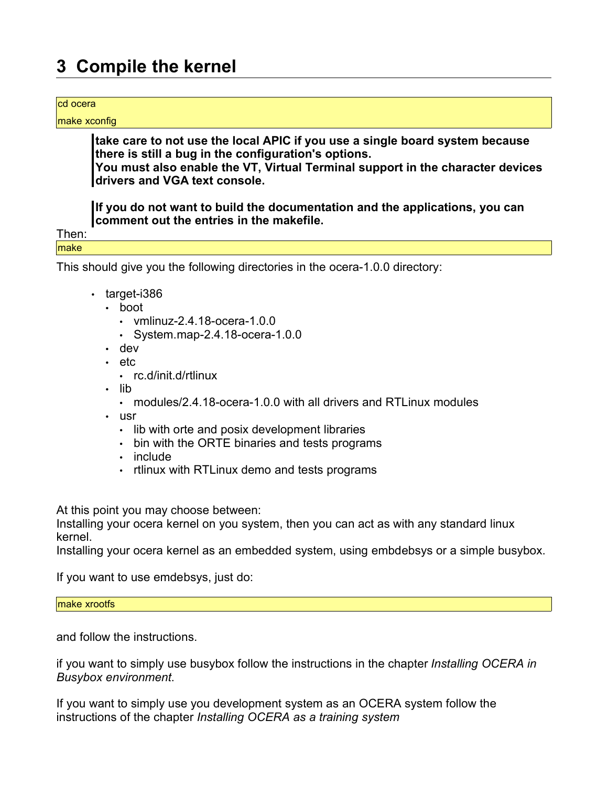## **3 Compile the kernel**

#### cd ocera

make xconfig

**take care to not use the local APIC if you use a single board system because there is still a bug in the configuration's options. You must also enable the VT, Virtual Terminal support in the character devices**

**drivers and VGA text console.**

**If you do not want to build the documentation and the applications, you can comment out the entries in the makefile.**

Then: make

This should give you the following directories in the ocera-1.0.0 directory:

- target-i386
	- boot
		- vmlinuz-2.4.18-ocera-1.0.0
		- System.map-2.4.18-ocera-1.0.0
	- dev
	- etc

• lib

- rc.d/init.d/rtlinux
- modules/2.4.18-ocera-1.0.0 with all drivers and RTLinux modules
- usr
	- lib with orte and posix development libraries
	- bin with the ORTE binaries and tests programs
	- include
	- rtlinux with RTLinux demo and tests programs

At this point you may choose between:

Installing your ocera kernel on you system, then you can act as with any standard linux kernel.

Installing your ocera kernel as an embedded system, using embdebsys or a simple busybox.

If you want to use emdebsys, just do:

make xrootfs

and follow the instructions.

if you want to simply use busybox follow the instructions in the chapter *Installing OCERA in Busybox environment*.

If you want to simply use you development system as an OCERA system follow the instructions of the chapter *Installing OCERA as a training system*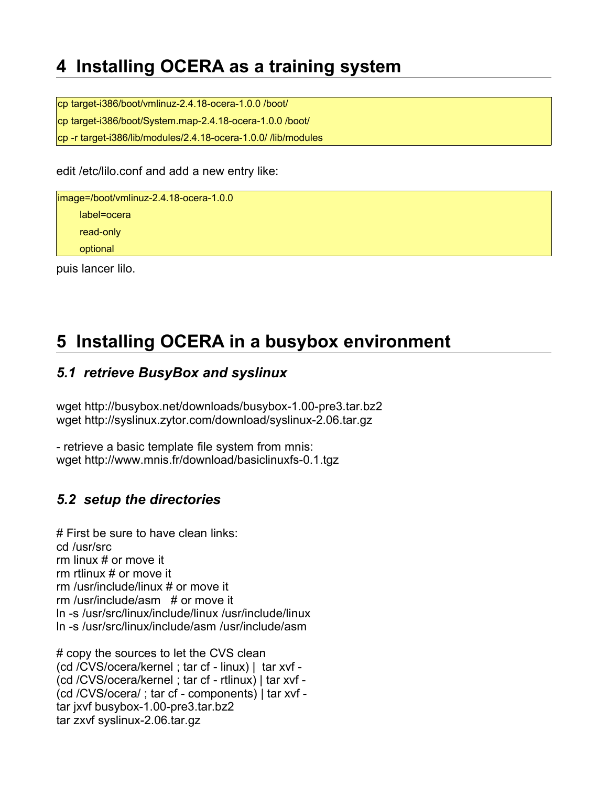## **4 Installing OCERA as a training system**

cp target-i386/boot/vmlinuz-2.4.18-ocera-1.0.0 /boot/ cp target-i386/boot/System.map-2.4.18-ocera-1.0.0 /boot/ cp -r target-i386/lib/modules/2.4.18-ocera-1.0.0/ /lib/modules

edit /etc/lilo.conf and add a new entry like:

image=/boot/vmlinuz-2.4.18-ocera-1.0.0 label=ocera read-only optional

puis lancer lilo.

## **5 Installing OCERA in a busybox environment**

### *5.1 retrieve BusyBox and syslinux*

wget http://busybox.net/downloads/busybox-1.00-pre3.tar.bz2 wget http://syslinux.zytor.com/download/syslinux-2.06.tar.gz

- retrieve a basic template file system from mnis: wget http://www.mnis.fr/download/basiclinuxfs-0.1.tgz

### *5.2 setup the directories*

# First be sure to have clean links: cd /usr/src rm linux # or move it rm rtlinux # or move it rm /usr/include/linux # or move it rm /usr/include/asm # or move it ln -s /usr/src/linux/include/linux /usr/include/linux ln -s /usr/src/linux/include/asm /usr/include/asm

# copy the sources to let the CVS clean (cd /CVS/ocera/kernel ; tar cf - linux) | tar xvf - (cd /CVS/ocera/kernel ; tar cf - rtlinux) | tar xvf - (cd /CVS/ocera/ ; tar cf - components) | tar xvf tar jxvf busybox-1.00-pre3.tar.bz2 tar zxvf syslinux-2.06.tar.gz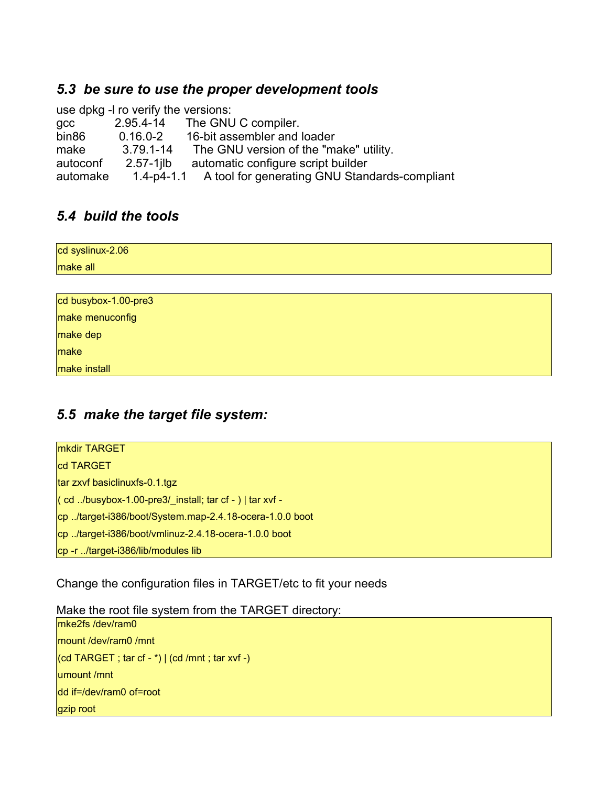### *5.3 be sure to use the proper development tools*

use dpkg -l ro verify the versions: gcc 2.95.4-14 The GNU C compiler. bin86 0.16.0-2 16-bit assembler and loader make 3.79.1-14 The GNU version of the "make" utility. autoconf 2.57-1jlb automatic configure script builder automake 1.4-p4-1.1 A tool for generating GNU Standards-compliant

### *5.4 build the tools*

| cd syslinux-2.06     |  |
|----------------------|--|
| make all             |  |
|                      |  |
| cd busybox-1.00-pre3 |  |
| make menuconfig      |  |
| make dep             |  |
| make                 |  |
| make install         |  |

### *5.5 make the target file system:*

| <b>mkdir TARGET</b>                                             |
|-----------------------------------------------------------------|
| cd TARGET                                                       |
| tar zxvf basiclinuxfs-0.1.tgz                                   |
| $\vert$ (cd /busybox-1.00-pre3/ install; tar cf - )   tar xvf - |
| cp/target-i386/boot/System.map-2.4.18-ocera-1.0.0 boot          |
| cp/target-i386/boot/vmlinuz-2.4.18-ocera-1.0.0 boot             |
| cp -r /target-i386/lib/modules lib                              |

Change the configuration files in TARGET/etc to fit your needs

Make the root file system from the TARGET directory:

mke2fs /dev/ram0 mount /dev/ram0 /mnt  $|$ (cd TARGET; tar cf - \*)  $|$  (cd /mnt; tar xvf -) umount /mnt dd if=/dev/ram0 of=root gzip root